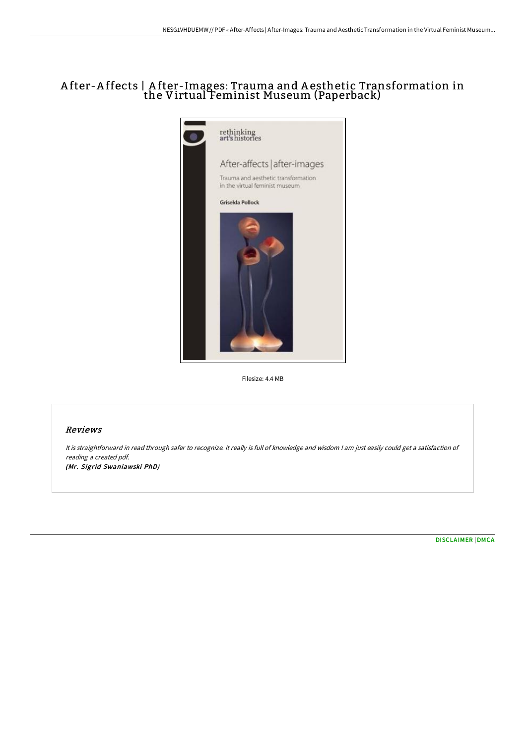## A fter-A ffects | A fter-Images: Trauma and A esthetic Transformation in the Virtual Feminist Museum (Paperback)



Filesize: 4.4 MB

## Reviews

It is straightforward in read through safer to recognize. It really is full of knowledge and wisdom <sup>I</sup> am just easily could get <sup>a</sup> satisfaction of reading <sup>a</sup> created pdf. (Mr. Sigrid Swaniawski PhD)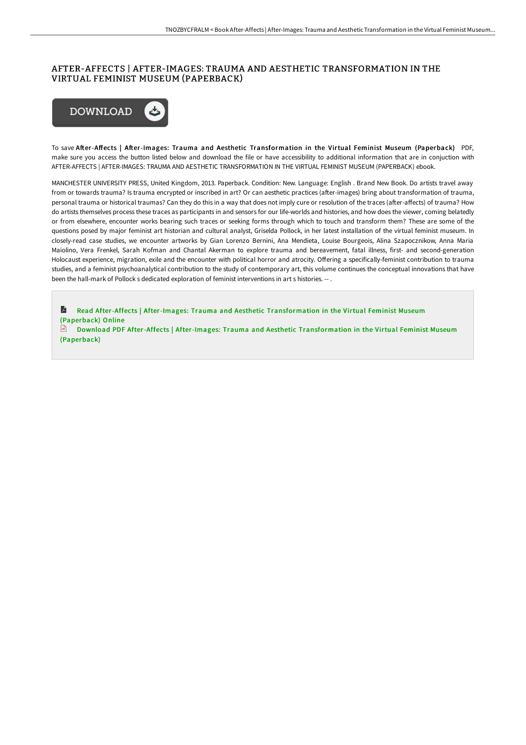## AFTER-AFFECTS | AFTER-IMAGES: TRAUMA AND AESTHETIC TRANSFORMATION IN THE VIRTUAL FEMINIST MUSEUM (PAPERBACK)



To save After-Affects | After-Images: Trauma and Aesthetic Transformation in the Virtual Feminist Museum (Paperback) PDF, make sure you access the button listed below and download the file or have accessibility to additional information that are in conjuction with AFTER-AFFECTS | AFTER-IMAGES: TRAUMA AND AESTHETIC TRANSFORMATION IN THE VIRTUAL FEMINIST MUSEUM (PAPERBACK) ebook.

MANCHESTER UNIVERSITY PRESS, United Kingdom, 2013. Paperback. Condition: New. Language: English . Brand New Book. Do artists travel away from or towards trauma? Is trauma encrypted or inscribed in art? Or can aesthetic practices (after-images) bring about transformation of trauma, personal trauma or historical traumas? Can they do this in a way that does not imply cure or resolution of the traces (after-affects) of trauma? How do artists themselves process these traces as participants in and sensors for our life-worlds and histories, and how does the viewer, coming belatedly or from elsewhere, encounter works bearing such traces or seeking forms through which to touch and transform them? These are some of the questions posed by major feminist art historian and cultural analyst, Griselda Pollock, in her latest installation of the virtual feminist museum. In closely-read case studies, we encounter artworks by Gian Lorenzo Bernini, Ana Mendieta, Louise Bourgeois, Alina Szapocznikow, Anna Maria Maiolino, Vera Frenkel, Sarah Kofman and Chantal Akerman to explore trauma and bereavement, fatal illness, first- and second-generation Holocaust experience, migration, exile and the encounter with political horror and atrocity. Offering a specifically-feminist contribution to trauma studies, and a feminist psychoanalytical contribution to the study of contemporary art, this volume continues the conceptual innovations that have been the hall-mark of Pollock s dedicated exploration of feminist interventions in art s histories. --

A Read After-Affects | After-Images: Trauma and Aesthetic [Transformation](http://albedo.media/after-affects-after-images-trauma-and-aesthetic-.html) in the Virtual Feminist Museum (Paperback) Online

Download PDF After-Affects | After-Images: Trauma and Aesthetic [Transformation](http://albedo.media/after-affects-after-images-trauma-and-aesthetic-.html) in the Virtual Feminist Museum (Paperback)